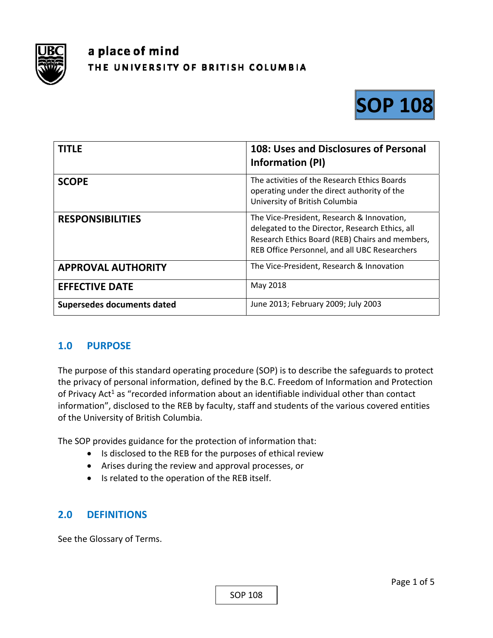

# a place of mind THE UNIVERSITY OF BRITISH COLUMBIA



| TITLE                             | 108: Uses and Disclosures of Personal<br>Information (PI)                                                                                                                                         |
|-----------------------------------|---------------------------------------------------------------------------------------------------------------------------------------------------------------------------------------------------|
| <b>SCOPE</b>                      | The activities of the Research Ethics Boards<br>operating under the direct authority of the<br>University of British Columbia                                                                     |
| <b>RESPONSIBILITIES</b>           | The Vice-President, Research & Innovation,<br>delegated to the Director, Research Ethics, all<br>Research Ethics Board (REB) Chairs and members,<br>REB Office Personnel, and all UBC Researchers |
| <b>APPROVAL AUTHORITY</b>         | The Vice-President, Research & Innovation                                                                                                                                                         |
| <b>EFFECTIVE DATE</b>             | May 2018                                                                                                                                                                                          |
| <b>Supersedes documents dated</b> | June 2013; February 2009; July 2003                                                                                                                                                               |

#### **1.0 PURPOSE**

The purpose of this standard operating procedure (SOP) is to describe the safeguards to protect the privacy of personal information, defined by the B.C. Freedom of Information and Protection of Privacy Act<sup>1</sup> as "recorded information about an identifiable individual other than contact information", disclosed to the REB by faculty, staff and students of the various covered entities of the University of British Columbia.

The SOP provides guidance for the protection of information that:

- Is disclosed to the REB for the purposes of ethical review
- Arises during the review and approval processes, or
- Is related to the operation of the REB itself.

### **2.0 DEFINITIONS**

See the Glossary of Terms.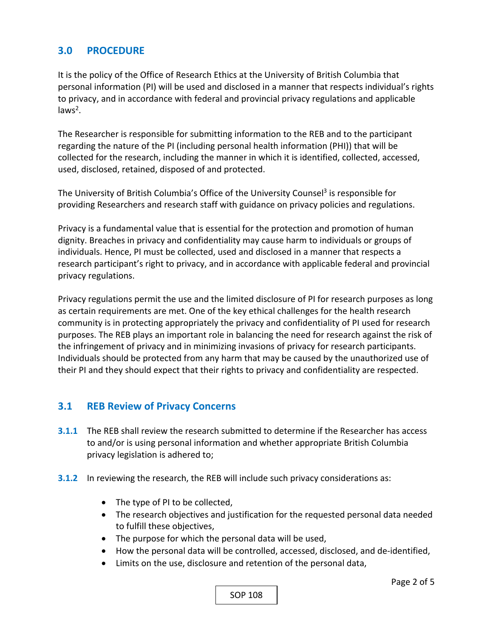#### **3.0 PROCEDURE**

It is the policy of the Office of Research Ethics at the University of British Columbia that personal information (PI) will be used and disclosed in a manner that respects individual's rights to privacy, and in accordance with federal and provincial privacy regulations and applicable laws<sup>2</sup>.

The Researcher is responsible for submitting information to the REB and to the participant regarding the nature of the PI (including personal health information (PHI)) that will be collected for the research, including the manner in which it is identified, collected, accessed, used, disclosed, retained, disposed of and protected.

The University of British Columbia's Office of the University Counsel<sup>3</sup> is responsible for providing Researchers and research staff with guidance on privacy policies and regulations.

Privacy is a fundamental value that is essential for the protection and promotion of human dignity. Breaches in privacy and confidentiality may cause harm to individuals or groups of individuals. Hence, PI must be collected, used and disclosed in a manner that respects a research participant's right to privacy, and in accordance with applicable federal and provincial privacy regulations.

Privacy regulations permit the use and the limited disclosure of PI for research purposes as long as certain requirements are met. One of the key ethical challenges for the health research community is in protecting appropriately the privacy and confidentiality of PI used for research purposes. The REB plays an important role in balancing the need for research against the risk of the infringement of privacy and in minimizing invasions of privacy for research participants. Individuals should be protected from any harm that may be caused by the unauthorized use of their PI and they should expect that their rights to privacy and confidentiality are respected.

#### **3.1 REB Review of Privacy Concerns**

- **3.1.1** The REB shall review the research submitted to determine if the Researcher has access to and/or is using personal information and whether appropriate British Columbia privacy legislation is adhered to;
- **3.1.2** In reviewing the research, the REB will include such privacy considerations as:
	- The type of PI to be collected,
	- The research objectives and justification for the requested personal data needed to fulfill these objectives,
	- The purpose for which the personal data will be used,
	- How the personal data will be controlled, accessed, disclosed, and de-identified,
	- Limits on the use, disclosure and retention of the personal data,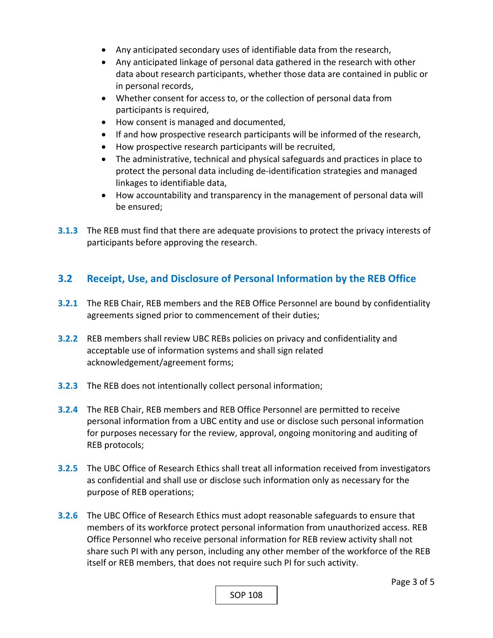- Any anticipated secondary uses of identifiable data from the research,
- Any anticipated linkage of personal data gathered in the research with other data about research participants, whether those data are contained in public or in personal records,
- Whether consent for access to, or the collection of personal data from participants is required,
- How consent is managed and documented,
- If and how prospective research participants will be informed of the research,
- How prospective research participants will be recruited,
- The administrative, technical and physical safeguards and practices in place to protect the personal data including de‐identification strategies and managed linkages to identifiable data,
- How accountability and transparency in the management of personal data will be ensured;
- **3.1.3**  The REB must find that there are adequate provisions to protect the privacy interests of participants before approving the research.

## **3.2 Receipt, Use, and Disclosure of Personal Information by the REB Office**

- **3.2.1**  The REB Chair, REB members and the REB Office Personnel are bound by confidentiality agreements signed prior to commencement of their duties;
- **3.2.2**  REB members shall review UBC REBs policies on privacy and confidentiality and acceptable use of information systems and shall sign related acknowledgement/agreement forms;
- **3.2.3**  The REB does not intentionally collect personal information;
- **3.2.4**  The REB Chair, REB members and REB Office Personnel are permitted to receive personal information from a UBC entity and use or disclose such personal information for purposes necessary for the review, approval, ongoing monitoring and auditing of REB protocols;
- **3.2.5**  The UBC Office of Research Ethics shall treat all information received from investigators as confidential and shall use or disclose such information only as necessary for the purpose of REB operations;
- **3.2.6**  The UBC Office of Research Ethics must adopt reasonable safeguards to ensure that members of its workforce protect personal information from unauthorized access. REB Office Personnel who receive personal information for REB review activity shall not share such PI with any person, including any other member of the workforce of the REB itself or REB members, that does not require such PI for such activity.

SOP 108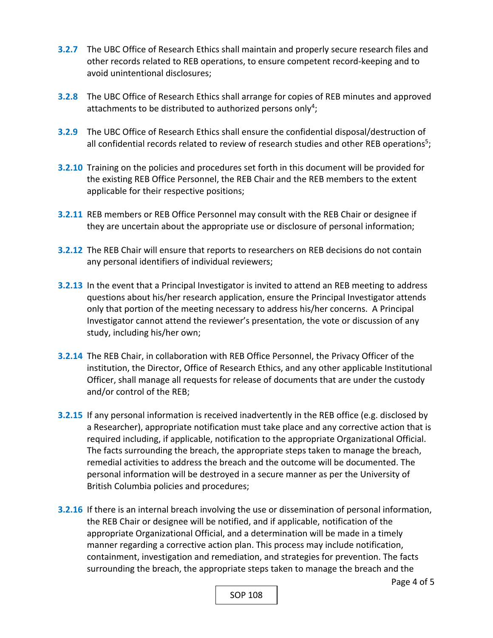- **3.2.7**  The UBC Office of Research Ethics shall maintain and properly secure research files and other records related to REB operations, to ensure competent record‐keeping and to avoid unintentional disclosures;
- **3.2.8**  The UBC Office of Research Ethics shall arrange for copies of REB minutes and approved attachments to be distributed to authorized persons only<sup>4</sup>;
- **3.2.9** The UBC Office of Research Ethics shall ensure the confidential disposal/destruction of all confidential records related to review of research studies and other REB operations<sup>5</sup>;
- **3.2.10**  Training on the policies and procedures set forth in this document will be provided for the existing REB Office Personnel, the REB Chair and the REB members to the extent applicable for their respective positions;
- **3.2.11**  REB members or REB Office Personnel may consult with the REB Chair or designee if they are uncertain about the appropriate use or disclosure of personal information;
- **3.2.12**  The REB Chair will ensure that reports to researchers on REB decisions do not contain any personal identifiers of individual reviewers;
- **3.2.13**  In the event that a Principal Investigator is invited to attend an REB meeting to address questions about his/her research application, ensure the Principal Investigator attends only that portion of the meeting necessary to address his/her concerns. A Principal Investigator cannot attend the reviewer's presentation, the vote or discussion of any study, including his/her own;
- **3.2.14**  The REB Chair, in collaboration with REB Office Personnel, the Privacy Officer of the institution, the Director, Office of Research Ethics, and any other applicable Institutional Officer, shall manage all requests for release of documents that are under the custody and/or control of the REB;
- **3.2.15**  If any personal information is received inadvertently in the REB office (e.g. disclosed by a Researcher), appropriate notification must take place and any corrective action that is required including, if applicable, notification to the appropriate Organizational Official. The facts surrounding the breach, the appropriate steps taken to manage the breach, remedial activities to address the breach and the outcome will be documented. The personal information will be destroyed in a secure manner as per the University of British Columbia policies and procedures;
- **3.2.16**  If there is an internal breach involving the use or dissemination of personal information, the REB Chair or designee will be notified, and if applicable, notification of the appropriate Organizational Official, and a determination will be made in a timely manner regarding a corrective action plan. This process may include notification, containment, investigation and remediation, and strategies for prevention. The facts surrounding the breach, the appropriate steps taken to manage the breach and the